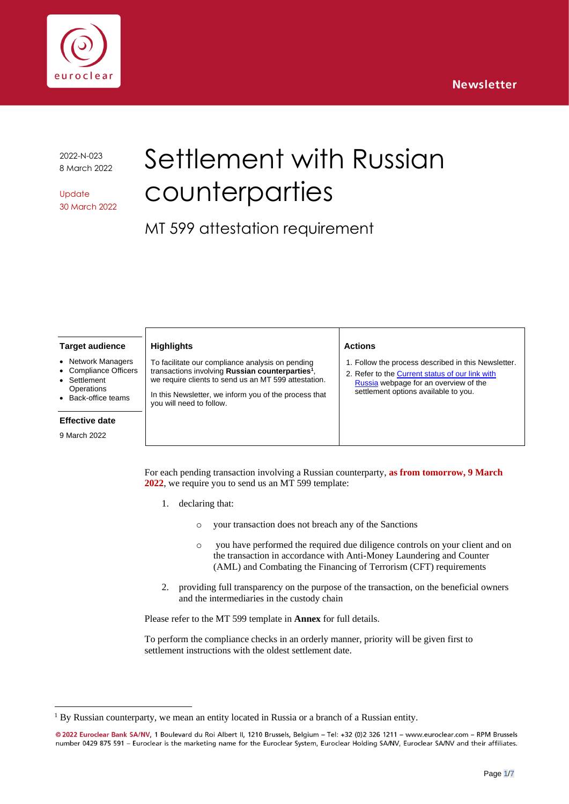

2022-N-023 8 March 2022

**Update** 30 March 2022

# Settlement with Russian counterparties

MT 599 attestation requirement

#### **Target audience**

- **Network Managers**
- Compliance Officers
- **Settlement**
- **Operations** Back-office teams

#### **Effective date**

9 March 2022

To facilitate our compliance analysis on pending transactions involving **Russian counterparties<sup>1</sup>** , we require clients to send us an MT 599 attestation.

In this Newsletter, we inform you of the process that you will need to follow.

#### **Actions**

1. Follow the process described in this Newsletter.

2. Refer to th[e Current status of our link with](https://www.euroclear.com/newsandinsights/en/Format/Articles/russia-our-current-status.html) [Russia](https://www.euroclear.com/newsandinsights/en/Format/Articles/russia-our-current-status.html) webpage for an overview of the settlement options available to you.

For each pending transaction involving a Russian counterparty, **as from tomorrow, 9 March 2022**, we require you to send us an MT 599 template:

1. declaring that:

**Highlights**

- o your transaction does not breach any of the Sanctions
- o you have performed the required due diligence controls on your client and on the transaction in accordance with Anti-Money Laundering and Counter (AML) and Combating the Financing of Terrorism (CFT) requirements
- 2. providing full transparency on the purpose of the transaction, on the beneficial owners and the intermediaries in the custody chain

Please refer to the MT 599 template in **Annex** for full details.

To perform the compliance checks in an orderly manner, priority will be given first to settlement instructions with the oldest settlement date.

 $<sup>1</sup>$  By Russian counterparty, we mean an entity located in Russia or a branch of a Russian entity.</sup>

<sup>@ 2022</sup> Euroclear Bank SA/NV, 1 Boulevard du Roi Albert II, 1210 Brussels, Belgium - Tel: +32 (0)2 326 1211 - www.euroclear.com - RPM Brussels number 0429 875 591 - Euroclear is the marketing name for the Euroclear System, Euroclear Holding SA/NV, Euroclear SA/NV and their affiliates.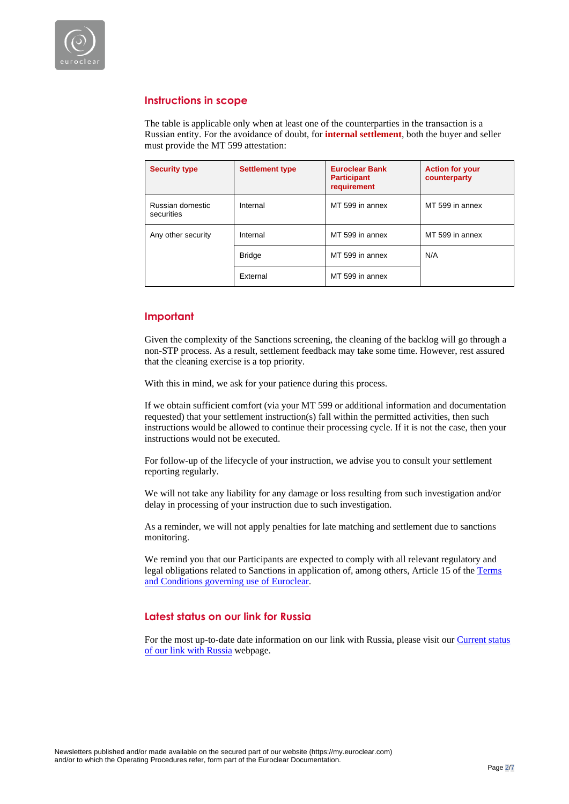

# **Instructions in scope**

The table is applicable only when at least one of the counterparties in the transaction is a Russian entity. For the avoidance of doubt, for **internal settlement**, both the buyer and seller must provide the MT 599 attestation:

| <b>Security type</b>           | <b>Settlement type</b> | <b>Euroclear Bank</b><br><b>Participant</b><br>requirement | <b>Action for your</b><br>counterparty |
|--------------------------------|------------------------|------------------------------------------------------------|----------------------------------------|
| Russian domestic<br>securities | Internal               | MT 599 in annex                                            | MT 599 in annex                        |
| Any other security             | Internal               | MT 599 in annex                                            | MT 599 in annex                        |
|                                | <b>Bridge</b>          | MT 599 in annex                                            | N/A                                    |
|                                | External               | MT 599 in annex                                            |                                        |

# **Important**

Given the complexity of the Sanctions screening, the cleaning of the backlog will go through a non-STP process. As a result, settlement feedback may take some time. However, rest assured that the cleaning exercise is a top priority.

With this in mind, we ask for your patience during this process.

If we obtain sufficient comfort (via your MT 599 or additional information and documentation requested) that your settlement instruction(s) fall within the permitted activities, then such instructions would be allowed to continue their processing cycle. If it is not the case, then your instructions would not be executed.

For follow-up of the lifecycle of your instruction, we advise you to consult your settlement reporting regularly.

We will not take any liability for any damage or loss resulting from such investigation and/or delay in processing of your instruction due to such investigation.

As a reminder, we will not apply penalties for late matching and settlement due to sanctions monitoring.

We remind you that our Participants are expected to comply with all relevant regulatory and legal obligations related to Sanctions in application of, among others, Article 15 of the [Terms](https://my.euroclear.com/content/dam/euroclear/Operational/EB/Legal%20information/Terms%20and%20conditions/public/LG310-terms-and-conditions-governing-use-of-euroclear.pdf)  [and Conditions governing use of Euroclear.](https://my.euroclear.com/content/dam/euroclear/Operational/EB/Legal%20information/Terms%20and%20conditions/public/LG310-terms-and-conditions-governing-use-of-euroclear.pdf)

# **Latest status on our link for Russia**

For the most up-to-date date information on our link with Russia, please visit our Current status [of our link with Russia](https://www.euroclear.com/newsandinsights/en/Format/Articles/russia-our-current-status.html) webpage.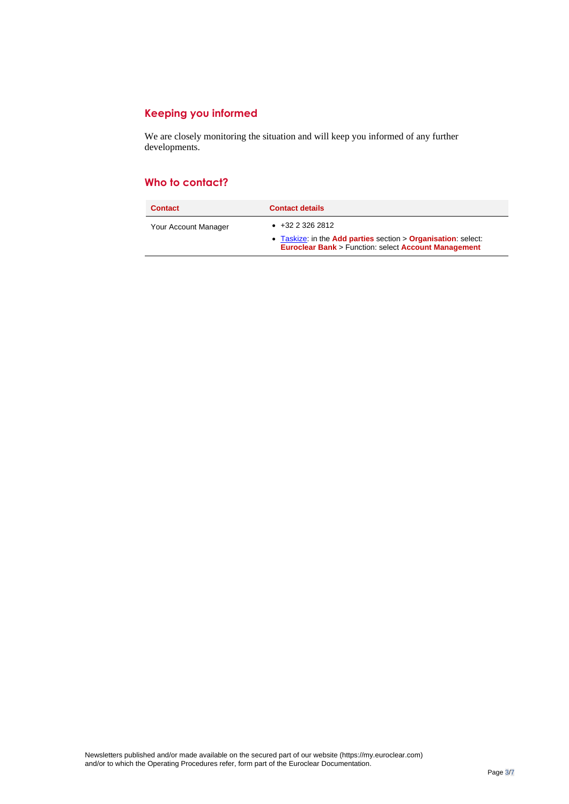# **Keeping you informed**

We are closely monitoring the situation and will keep you informed of any further developments.

# **Who to contact?**

| <b>Contact</b>       | <b>Contact details</b>                                                                                                                             |
|----------------------|----------------------------------------------------------------------------------------------------------------------------------------------------|
| Your Account Manager | $+3223262812$<br>• Taskize: in the Add parties section $>$ Organisation: select:<br><b>Euroclear Bank &gt; Function: select Account Management</b> |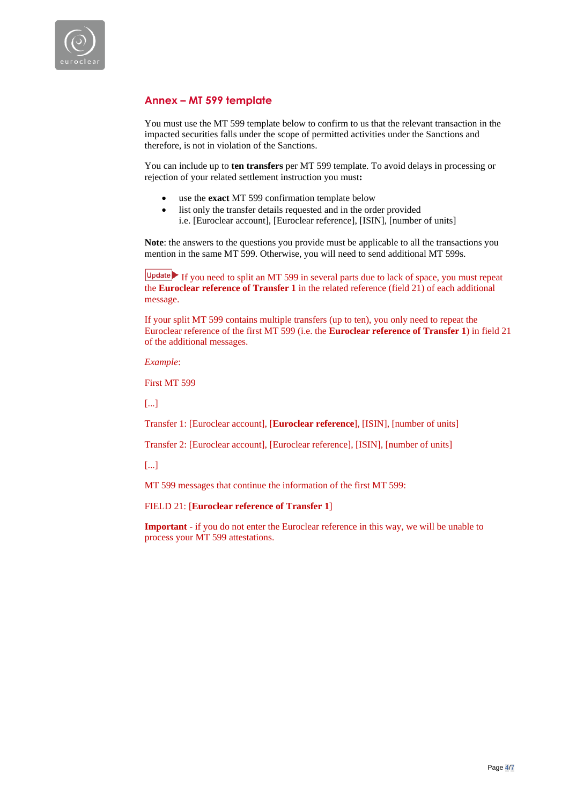

# **Annex – MT 599 template**

You must use the MT 599 template below to confirm to us that the relevant transaction in the impacted securities falls under the scope of permitted activities under the Sanctions and therefore, is not in violation of the Sanctions.

You can include up to **ten transfers** per MT 599 template. To avoid delays in processing or rejection of your related settlement instruction you must**:** 

- use the **exact** MT 599 confirmation template below
- list only the transfer details requested and in the order provided i.e. [Euroclear account], [Euroclear reference], [ISIN], [number of units]

**Note**: the answers to the questions you provide must be applicable to all the transactions you mention in the same MT 599. Otherwise, you will need to send additional MT 599s.

If you need to split an MT 599 in several parts due to lack of space, you must repeat the **Euroclear reference of Transfer 1** in the related reference (field 21) of each additional message.

If your split MT 599 contains multiple transfers (up to ten), you only need to repeat the Euroclear reference of the first MT 599 (i.e. the **Euroclear reference of Transfer 1**) in field 21 of the additional messages.

*Example*:

First MT 599

[...]

Transfer 1: [Euroclear account], [**Euroclear reference**], [ISIN], [number of units]

Transfer 2: [Euroclear account], [Euroclear reference], [ISIN], [number of units]

[...]

MT 599 messages that continue the information of the first MT 599:

### FIELD 21: [**Euroclear reference of Transfer 1**]

**Important** - if you do not enter the Euroclear reference in this way, we will be unable to process your MT 599 attestations.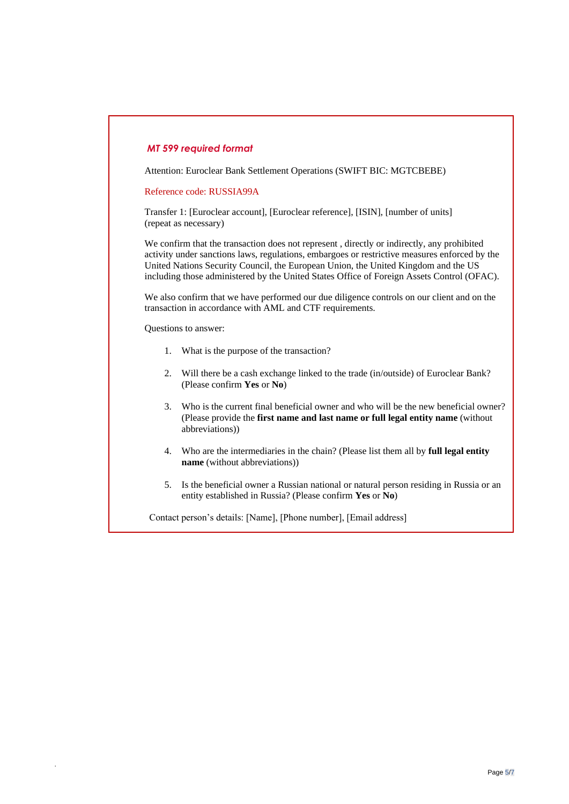# *MT 599 required format*

Attention: Euroclear Bank Settlement Operations (SWIFT BIC: MGTCBEBE)

Reference code: RUSSIA99A

Transfer 1: [Euroclear account], [Euroclear reference], [ISIN], [number of units] (repeat as necessary)

We confirm that the transaction does not represent , directly or indirectly, any prohibited activity under sanctions laws, regulations, embargoes or restrictive measures enforced by the United Nations Security Council, the European Union, the United Kingdom and the US including those administered by the United States Office of Foreign Assets Control (OFAC).

We also confirm that we have performed our due diligence controls on our client and on the transaction in accordance with AML and CTF requirements.

Questions to answer:

.

- 1. What is the purpose of the transaction?
- 2. Will there be a cash exchange linked to the trade (in/outside) of Euroclear Bank? (Please confirm **Yes** or **No**)
- 3. Who is the current final beneficial owner and who will be the new beneficial owner? (Please provide the **first name and last name or full legal entity name** (without abbreviations))
- 4. Who are the intermediaries in the chain? (Please list them all by **full legal entity name** (without abbreviations))
- 5. Is the beneficial owner a Russian national or natural person residing in Russia or an entity established in Russia? (Please confirm **Yes** or **No**)

Contact person's details: [Name], [Phone number], [Email address]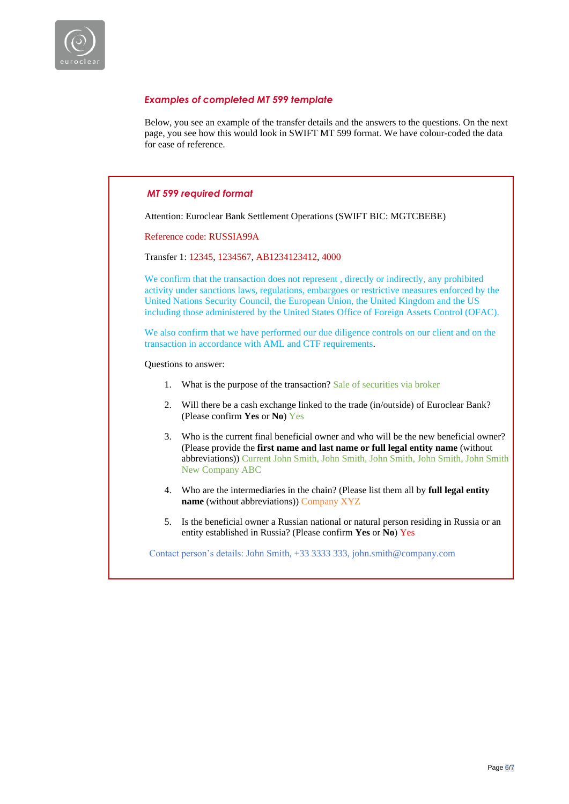

# *Examples of completed MT 599 template*

Below, you see an example of the transfer details and the answers to the questions. On the next page, you see how this would look in SWIFT MT 599 format. We have colour-coded the data for ease of reference.

## *MT 599 required format*

Attention: Euroclear Bank Settlement Operations (SWIFT BIC: MGTCBEBE)

Reference code: RUSSIA99A

Transfer 1: 12345, 1234567, AB1234123412, 4000

We confirm that the transaction does not represent, directly or indirectly, any prohibited activity under sanctions laws, regulations, embargoes or restrictive measures enforced by the United Nations Security Council, the European Union, the United Kingdom and the US including those administered by the United States Office of Foreign Assets Control (OFAC).

We also confirm that we have performed our due diligence controls on our client and on the transaction in accordance with AML and CTF requirements.

Questions to answer:

- 1. What is the purpose of the transaction? Sale of securities via broker
- 2. Will there be a cash exchange linked to the trade (in/outside) of Euroclear Bank? (Please confirm **Yes** or **No**) Yes
- 3. Who is the current final beneficial owner and who will be the new beneficial owner? (Please provide the **first name and last name or full legal entity name** (without abbreviations)) Current John Smith, John Smith, John Smith, John Smith, John Smith New Company ABC
- 4. Who are the intermediaries in the chain? (Please list them all by **full legal entity name** (without abbreviations)) Company XYZ
- 5. Is the beneficial owner a Russian national or natural person residing in Russia or an entity established in Russia? (Please confirm **Yes** or **No**) Yes

Contact person's details: John Smith, +33 3333 333, john.smith@company.com